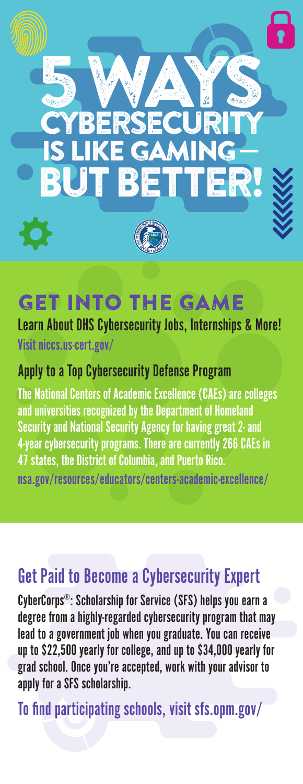

# GET INTO THE GAME

Learn About DHS Cybersecurity Jobs, Internships & More! Visit niccs.us-cert.gov/

#### Apply to a Top Cybersecurity Defense Program

The National Centers of Academic Excellence (CAEs) are colleges and universities recognized by the Department of Homeland Security and National Security Agency for having great 2- and 4-year cybersecurity programs. There are currently 266 CAEs in 47 states, the District of Columbia, and Puerto Rico. nsa.gov/resources/educators/centers-academic-excellence/

## Get Paid to Become a Cybersecurity Expert

CyberCorps®: Scholarship for Service (SFS) helps you earn a degree from a highly-regarded cybersecurity program that may lead to a government job when you graduate. You can receive up to \$22,500 yearly for college, and up to \$34,000 yearly for grad school. Once you're accepted, work with your advisor to apply for a SFS scholarship.

To find participating schools, visit sfs.opm.gov/